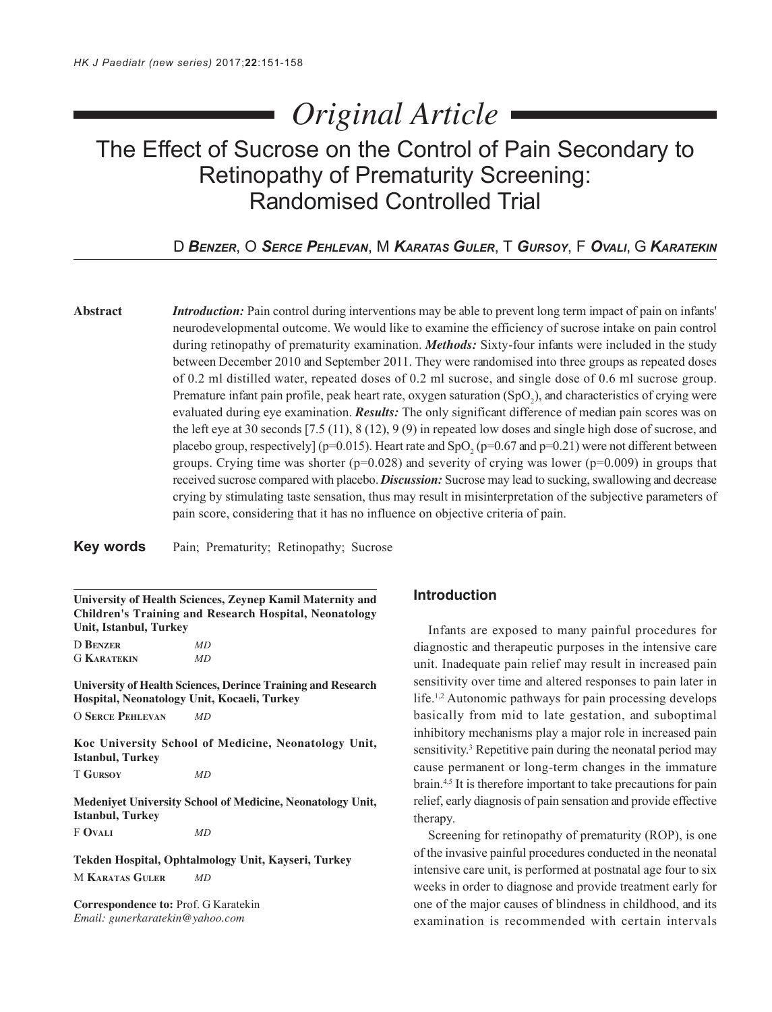# *Original Article*

# The Effect of Sucrose on the Control of Pain Secondary to Retinopathy of Prematurity Screening: Randomised Controlled Trial

D *BENZER*, O *SERCE PEHLEVAN*, M *KARATAS GULER*, T *GURSOY*, F *OVALI*, G *KARATEKIN*

**Abstract** *Introduction:* Pain control during interventions may be able to prevent long term impact of pain on infants' neurodevelopmental outcome. We would like to examine the efficiency of sucrose intake on pain control during retinopathy of prematurity examination. *Methods:* Sixty-four infants were included in the study between December 2010 and September 2011. They were randomised into three groups as repeated doses of 0.2 ml distilled water, repeated doses of 0.2 ml sucrose, and single dose of 0.6 ml sucrose group. Premature infant pain profile, peak heart rate, oxygen saturation  $(SpO<sub>2</sub>)$ , and characteristics of crying were evaluated during eye examination. *Results:* The only significant difference of median pain scores was on the left eye at 30 seconds [7.5 (11), 8 (12), 9 (9) in repeated low doses and single high dose of sucrose, and placebo group, respectively] (p=0.015). Heart rate and  $SpO_2$  (p=0.67 and p=0.21) were not different between groups. Crying time was shorter ( $p=0.028$ ) and severity of crying was lower ( $p=0.009$ ) in groups that received sucrose compared with placebo. *Discussion:* Sucrose may lead to sucking, swallowing and decrease crying by stimulating taste sensation, thus may result in misinterpretation of the subjective parameters of pain score, considering that it has no influence on objective criteria of pain.

**Key words** Pain; Prematurity; Retinopathy; Sucrose

**University of Health Sciences, Zeynep Kamil Maternity and Children's Training and Research Hospital, Neonatology Unit, Istanbul, Turkey**

D **BENZER** *MD* G **KARATEKIN** *MD*

**University of Health Sciences, Derince Training and Research Hospital, Neonatology Unit, Kocaeli, Turkey**

O **SERCE PEHLEVAN** *MD*

**Koc University School of Medicine, Neonatology Unit, Istanbul, Turkey**

T **GURSOY** *MD*

**Medeniyet University School of Medicine, Neonatology Unit, Istanbul, Turkey**

F **OVALI** *MD*

**Tekden Hospital, Ophtalmology Unit, Kayseri, Turkey** M **KARATAS GULER** *MD*

**Correspondence to:** Prof. G Karatekin *Email: gunerkaratekin@yahoo.com*

### **Introduction**

Infants are exposed to many painful procedures for diagnostic and therapeutic purposes in the intensive care unit. Inadequate pain relief may result in increased pain sensitivity over time and altered responses to pain later in life.<sup>1,2</sup> Autonomic pathways for pain processing develops basically from mid to late gestation, and suboptimal inhibitory mechanisms play a major role in increased pain sensitivity.<sup>3</sup> Repetitive pain during the neonatal period may cause permanent or long-term changes in the immature brain.<sup>4,5</sup> It is therefore important to take precautions for pain relief, early diagnosis of pain sensation and provide effective therapy.

Screening for retinopathy of prematurity (ROP), is one of the invasive painful procedures conducted in the neonatal intensive care unit, is performed at postnatal age four to six weeks in order to diagnose and provide treatment early for one of the major causes of blindness in childhood, and its examination is recommended with certain intervals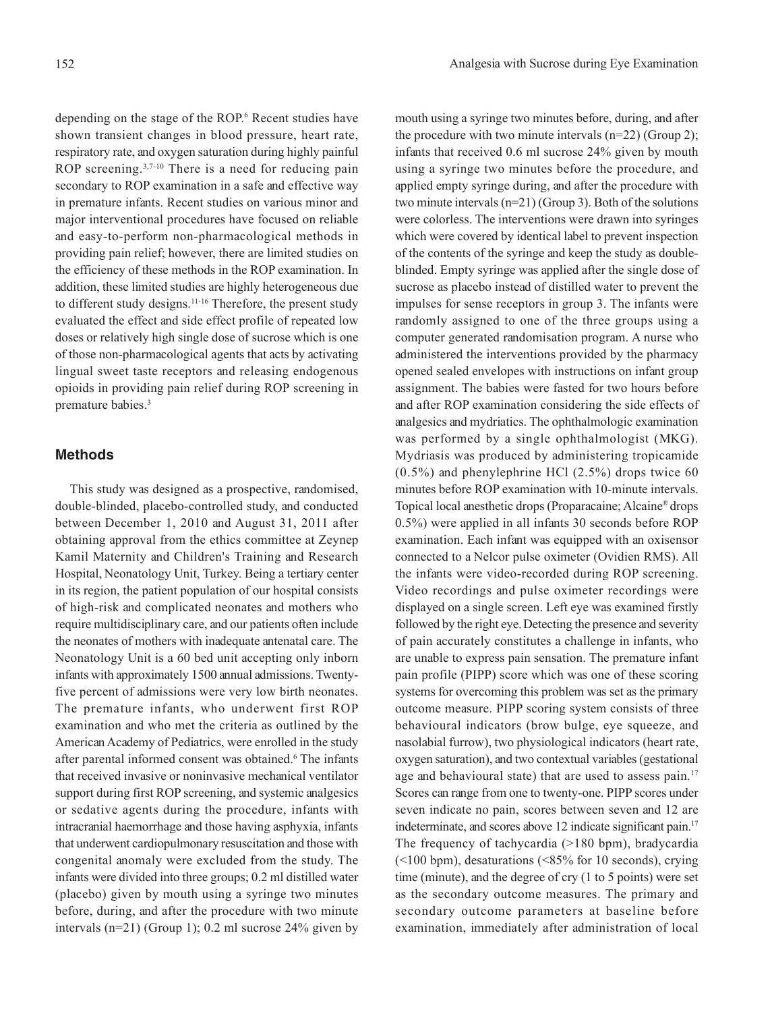depending on the stage of the ROP.<sup>6</sup> Recent studies have shown transient changes in blood pressure, heart rate, respiratory rate, and oxygen saturation during highly painful ROP screening.<sup>3,7-10</sup> There is a need for reducing pain secondary to ROP examination in a safe and effective way in premature infants. Recent studies on various minor and major interventional procedures have focused on reliable and easy-to-perform non-pharmacological methods in providing pain relief; however, there are limited studies on the efficiency of these methods in the ROP examination. In addition, these limited studies are highly heterogeneous due to different study designs.<sup>11-16</sup> Therefore, the present study evaluated the effect and side effect profile of repeated low doses or relatively high single dose of sucrose which is one of those non-pharmacological agents that acts by activating lingual sweet taste receptors and releasing endogenous opioids in providing pain relief during ROP screening in premature babies.<sup>3</sup>

#### **Methods**

This study was designed as a prospective, randomised, double-blinded, placebo-controlled study, and conducted between December 1, 2010 and August 31, 2011 after obtaining approval from the ethics committee at Zeynep Kamil Maternity and Children's Training and Research Hospital, Neonatology Unit, Turkey. Being a tertiary center in its region, the patient population of our hospital consists of high-risk and complicated neonates and mothers who require multidisciplinary care, and our patients often include the neonates of mothers with inadequate antenatal care. The Neonatology Unit is a 60 bed unit accepting only inborn infants with approximately 1500 annual admissions. Twentyfive percent of admissions were very low birth neonates. The premature infants, who underwent first ROP examination and who met the criteria as outlined by the American Academy of Pediatrics, were enrolled in the study after parental informed consent was obtained.<sup>6</sup> The infants that received invasive or noninvasive mechanical ventilator support during first ROP screening, and systemic analgesics or sedative agents during the procedure, infants with intracranial haemorrhage and those having asphyxia, infants that underwent cardiopulmonary resuscitation and those with congenital anomaly were excluded from the study. The infants were divided into three groups; 0.2 ml distilled water (placebo) given by mouth using a syringe two minutes before, during, and after the procedure with two minute intervals (n=21) (Group 1); 0.2 ml sucrose 24% given by

mouth using a syringe two minutes before, during, and after the procedure with two minute intervals  $(n=22)$  (Group 2); infants that received 0.6 ml sucrose 24% given by mouth using a syringe two minutes before the procedure, and applied empty syringe during, and after the procedure with two minute intervals (n=21) (Group 3). Both of the solutions were colorless. The interventions were drawn into syringes which were covered by identical label to prevent inspection of the contents of the syringe and keep the study as doubleblinded. Empty syringe was applied after the single dose of sucrose as placebo instead of distilled water to prevent the impulses for sense receptors in group 3. The infants were randomly assigned to one of the three groups using a computer generated randomisation program. A nurse who administered the interventions provided by the pharmacy opened sealed envelopes with instructions on infant group assignment. The babies were fasted for two hours before and after ROP examination considering the side effects of analgesics and mydriatics. The ophthalmologic examination was performed by a single ophthalmologist (MKG). Mydriasis was produced by administering tropicamide (0.5%) and phenylephrine HCl (2.5%) drops twice 60 minutes before ROP examination with 10-minute intervals. Topical local anesthetic drops (Proparacaine; Alcaine® drops 0.5%) were applied in all infants 30 seconds before ROP examination. Each infant was equipped with an oxisensor connected to a Nelcor pulse oximeter (Ovidien RMS). All the infants were video-recorded during ROP screening. Video recordings and pulse oximeter recordings were displayed on a single screen. Left eye was examined firstly followed by the right eye. Detecting the presence and severity of pain accurately constitutes a challenge in infants, who are unable to express pain sensation. The premature infant pain profile (PIPP) score which was one of these scoring systems for overcoming this problem was set as the primary outcome measure. PIPP scoring system consists of three behavioural indicators (brow bulge, eye squeeze, and nasolabial furrow), two physiological indicators (heart rate, oxygen saturation), and two contextual variables (gestational age and behavioural state) that are used to assess pain.<sup>17</sup> Scores can range from one to twenty-one. PIPP scores under seven indicate no pain, scores between seven and 12 are indeterminate, and scores above 12 indicate significant pain.<sup>17</sup> The frequency of tachycardia (>180 bpm), bradycardia (<100 bpm), desaturations (<85% for 10 seconds), crying time (minute), and the degree of cry (1 to 5 points) were set as the secondary outcome measures. The primary and secondary outcome parameters at baseline before examination, immediately after administration of local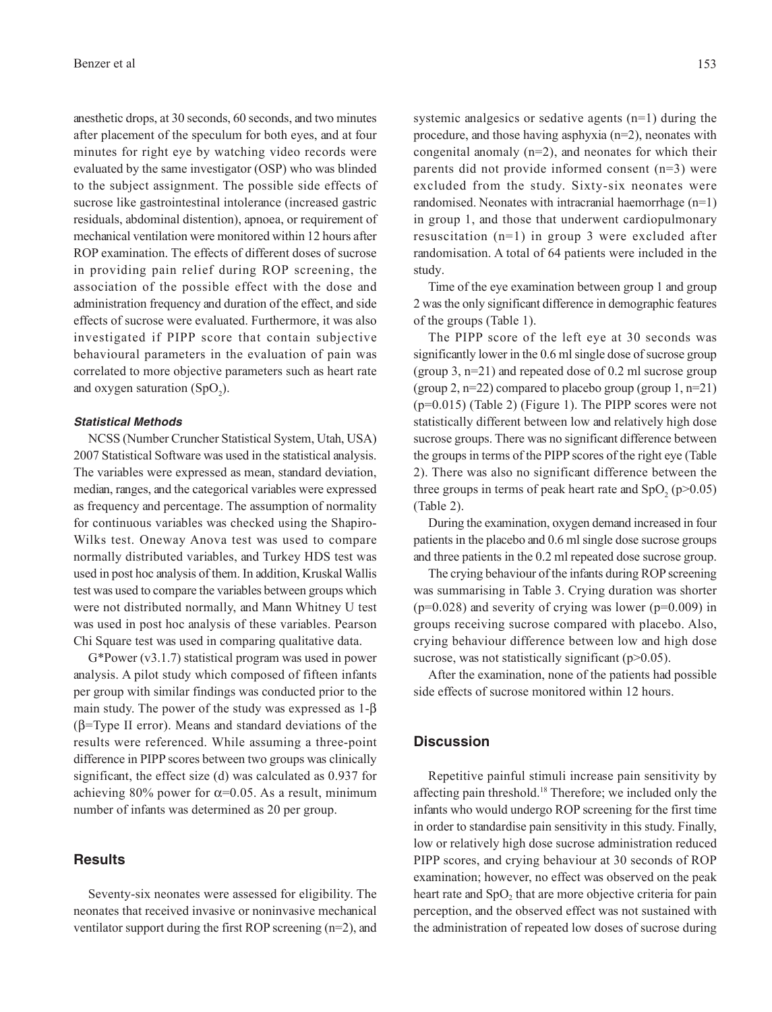anesthetic drops, at 30 seconds, 60 seconds, and two minutes after placement of the speculum for both eyes, and at four minutes for right eye by watching video records were evaluated by the same investigator (OSP) who was blinded to the subject assignment. The possible side effects of sucrose like gastrointestinal intolerance (increased gastric residuals, abdominal distention), apnoea, or requirement of mechanical ventilation were monitored within 12 hours after ROP examination. The effects of different doses of sucrose in providing pain relief during ROP screening, the association of the possible effect with the dose and administration frequency and duration of the effect, and side effects of sucrose were evaluated. Furthermore, it was also investigated if PIPP score that contain subjective behavioural parameters in the evaluation of pain was correlated to more objective parameters such as heart rate and oxygen saturation  $(SpO<sub>2</sub>)$ .

#### **Statistical Methods**

NCSS (Number Cruncher Statistical System, Utah, USA) 2007 Statistical Software was used in the statistical analysis. The variables were expressed as mean, standard deviation, median, ranges, and the categorical variables were expressed as frequency and percentage. The assumption of normality for continuous variables was checked using the Shapiro-Wilks test. Oneway Anova test was used to compare normally distributed variables, and Turkey HDS test was used in post hoc analysis of them. In addition, Kruskal Wallis test was used to compare the variables between groups which were not distributed normally, and Mann Whitney U test was used in post hoc analysis of these variables. Pearson Chi Square test was used in comparing qualitative data.

G\*Power (v3.1.7) statistical program was used in power analysis. A pilot study which composed of fifteen infants per group with similar findings was conducted prior to the main study. The power of the study was expressed as 1-β (β=Type II error). Means and standard deviations of the results were referenced. While assuming a three-point difference in PIPP scores between two groups was clinically significant, the effect size (d) was calculated as 0.937 for achieving 80% power for  $\alpha$ =0.05. As a result, minimum number of infants was determined as 20 per group.

#### **Results**

Seventy-six neonates were assessed for eligibility. The neonates that received invasive or noninvasive mechanical ventilator support during the first ROP screening (n=2), and systemic analgesics or sedative agents (n=1) during the procedure, and those having asphyxia (n=2), neonates with congenital anomaly (n=2), and neonates for which their parents did not provide informed consent (n=3) were excluded from the study. Sixty-six neonates were randomised. Neonates with intracranial haemorrhage (n=1) in group 1, and those that underwent cardiopulmonary resuscitation (n=1) in group 3 were excluded after randomisation. A total of 64 patients were included in the study.

Time of the eye examination between group 1 and group 2 was the only significant difference in demographic features of the groups (Table 1).

The PIPP score of the left eye at 30 seconds was significantly lower in the 0.6 ml single dose of sucrose group (group 3, n=21) and repeated dose of 0.2 ml sucrose group (group 2,  $n=22$ ) compared to placebo group (group 1,  $n=21$ ) (p=0.015) (Table 2) (Figure 1). The PIPP scores were not statistically different between low and relatively high dose sucrose groups. There was no significant difference between the groups in terms of the PIPP scores of the right eye (Table 2). There was also no significant difference between the three groups in terms of peak heart rate and  $SpO<sub>2</sub>$  (p>0.05) (Table 2).

During the examination, oxygen demand increased in four patients in the placebo and 0.6 ml single dose sucrose groups and three patients in the 0.2 ml repeated dose sucrose group.

The crying behaviour of the infants during ROP screening was summarising in Table 3. Crying duration was shorter  $(p=0.028)$  and severity of crying was lower  $(p=0.009)$  in groups receiving sucrose compared with placebo. Also, crying behaviour difference between low and high dose sucrose, was not statistically significant  $(p>0.05)$ .

After the examination, none of the patients had possible side effects of sucrose monitored within 12 hours.

#### **Discussion**

Repetitive painful stimuli increase pain sensitivity by affecting pain threshold.18 Therefore; we included only the infants who would undergo ROP screening for the first time in order to standardise pain sensitivity in this study. Finally, low or relatively high dose sucrose administration reduced PIPP scores, and crying behaviour at 30 seconds of ROP examination; however, no effect was observed on the peak heart rate and SpO<sub>2</sub> that are more objective criteria for pain perception, and the observed effect was not sustained with the administration of repeated low doses of sucrose during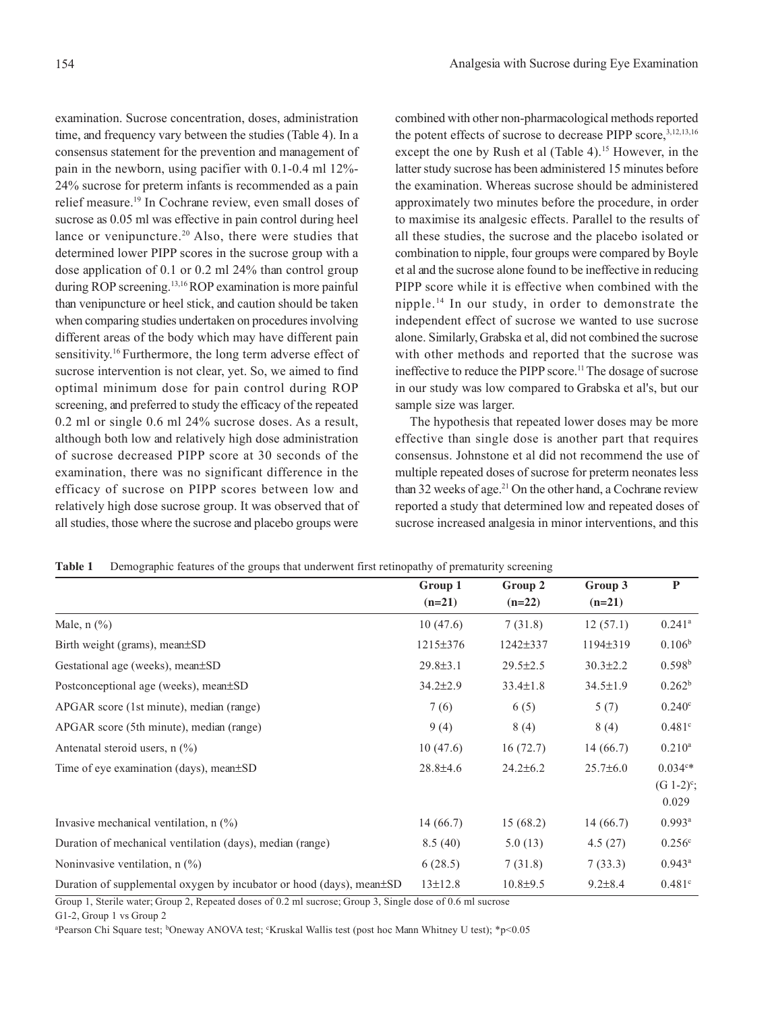examination. Sucrose concentration, doses, administration time, and frequency vary between the studies (Table 4). In a consensus statement for the prevention and management of pain in the newborn, using pacifier with 0.1-0.4 ml 12%- 24% sucrose for preterm infants is recommended as a pain relief measure.19 In Cochrane review, even small doses of sucrose as 0.05 ml was effective in pain control during heel lance or venipuncture.<sup>20</sup> Also, there were studies that determined lower PIPP scores in the sucrose group with a dose application of 0.1 or 0.2 ml 24% than control group during ROP screening.13,16 ROP examination is more painful than venipuncture or heel stick, and caution should be taken when comparing studies undertaken on procedures involving different areas of the body which may have different pain sensitivity.<sup>16</sup> Furthermore, the long term adverse effect of sucrose intervention is not clear, yet. So, we aimed to find optimal minimum dose for pain control during ROP screening, and preferred to study the efficacy of the repeated 0.2 ml or single 0.6 ml 24% sucrose doses. As a result, although both low and relatively high dose administration of sucrose decreased PIPP score at 30 seconds of the examination, there was no significant difference in the efficacy of sucrose on PIPP scores between low and relatively high dose sucrose group. It was observed that of all studies, those where the sucrose and placebo groups were

combined with other non-pharmacological methods reported the potent effects of sucrose to decrease PIPP score, 3,12,13,16 except the one by Rush et al (Table 4).<sup>15</sup> However, in the latter study sucrose has been administered 15 minutes before the examination. Whereas sucrose should be administered approximately two minutes before the procedure, in order to maximise its analgesic effects. Parallel to the results of all these studies, the sucrose and the placebo isolated or combination to nipple, four groups were compared by Boyle et al and the sucrose alone found to be ineffective in reducing PIPP score while it is effective when combined with the nipple.14 In our study, in order to demonstrate the independent effect of sucrose we wanted to use sucrose alone. Similarly, Grabska et al, did not combined the sucrose with other methods and reported that the sucrose was ineffective to reduce the PIPP score.<sup>11</sup> The dosage of sucrose in our study was low compared to Grabska et al's, but our sample size was larger.

The hypothesis that repeated lower doses may be more effective than single dose is another part that requires consensus. Johnstone et al did not recommend the use of multiple repeated doses of sucrose for preterm neonates less than 32 weeks of age.<sup>21</sup> On the other hand, a Cochrane review reported a study that determined low and repeated doses of sucrose increased analgesia in minor interventions, and this

|  | Table 1 Demographic features of the groups that underwent first retinopathy of prematurity screening |  |  |  |  |  |
|--|------------------------------------------------------------------------------------------------------|--|--|--|--|--|
|--|------------------------------------------------------------------------------------------------------|--|--|--|--|--|

|                                                                            | Group 1        | Group 2        | Group 3        | $\mathbf{P}$             |
|----------------------------------------------------------------------------|----------------|----------------|----------------|--------------------------|
|                                                                            | $(n=21)$       | $(n=22)$       | $(n=21)$       |                          |
| Male, $n$ $\left(\frac{9}{6}\right)$                                       | 10(47.6)       | 7(31.8)        | 12(57.1)       | $0.241$ <sup>a</sup>     |
| Birth weight (grams), mean±SD                                              | 1215±376       | 1242±337       | 1194±319       | 0.106 <sup>b</sup>       |
| Gestational age (weeks), mean±SD                                           | $29.8 \pm 3.1$ | $29.5 \pm 2.5$ | $30.3 \pm 2.2$ | 0.598 <sup>b</sup>       |
| Postconceptional age (weeks), mean $\pm SD$                                | $34.2 \pm 2.9$ | $33.4 \pm 1.8$ | $34.5 \pm 1.9$ | $0.262^b$                |
| APGAR score (1st minute), median (range)                                   | 7(6)           | 6(5)           | 5(7)           | 0.240 <sup>c</sup>       |
| APGAR score (5th minute), median (range)                                   | 9(4)           | 8(4)           | 8(4)           | $0.481$ <sup>c</sup>     |
| Antenatal steroid users, $n$ (%)                                           | 10(47.6)       | 16(72.7)       | 14(66.7)       | $0.210^{a}$              |
| Time of eye examination (days), mean±SD                                    | $28.8 \pm 4.6$ | $24.2 \pm 6.2$ | $25.7\pm 6.0$  | $0.034c*$                |
|                                                                            |                |                |                | $(G 1-2)^{c}$ ;<br>0.029 |
| Invasive mechanical ventilation, $n$ (%)                                   | 14(66.7)       | 15(68.2)       | 14(66.7)       | $0.993$ <sup>a</sup>     |
| Duration of mechanical ventilation (days), median (range)                  | 8.5(40)        | 5.0(13)        | 4.5(27)        | 0.256 <sup>c</sup>       |
| Noninvasive ventilation, $n$ $\left(\frac{\%}{\%}\right)$                  | 6(28.5)        | 7(31.8)        | 7(33.3)        | $0.943^{\rm a}$          |
| Duration of supplemental oxygen by incubator or hood (days), mean $\pm SD$ | $13 \pm 12.8$  | $10.8 + 9.5$   | $9.2 \pm 8.4$  | 0.481c                   |

Group 1, Sterile water; Group 2, Repeated doses of 0.2 ml sucrose; Group 3, Single dose of 0.6 ml sucrose

G1-2, Group 1 vs Group 2

<sup>a</sup>Pearson Chi Square test; <sup>b</sup>Oneway ANOVA test; 'Kruskal Wallis test (post hoc Mann Whitney U test); \*p<0.05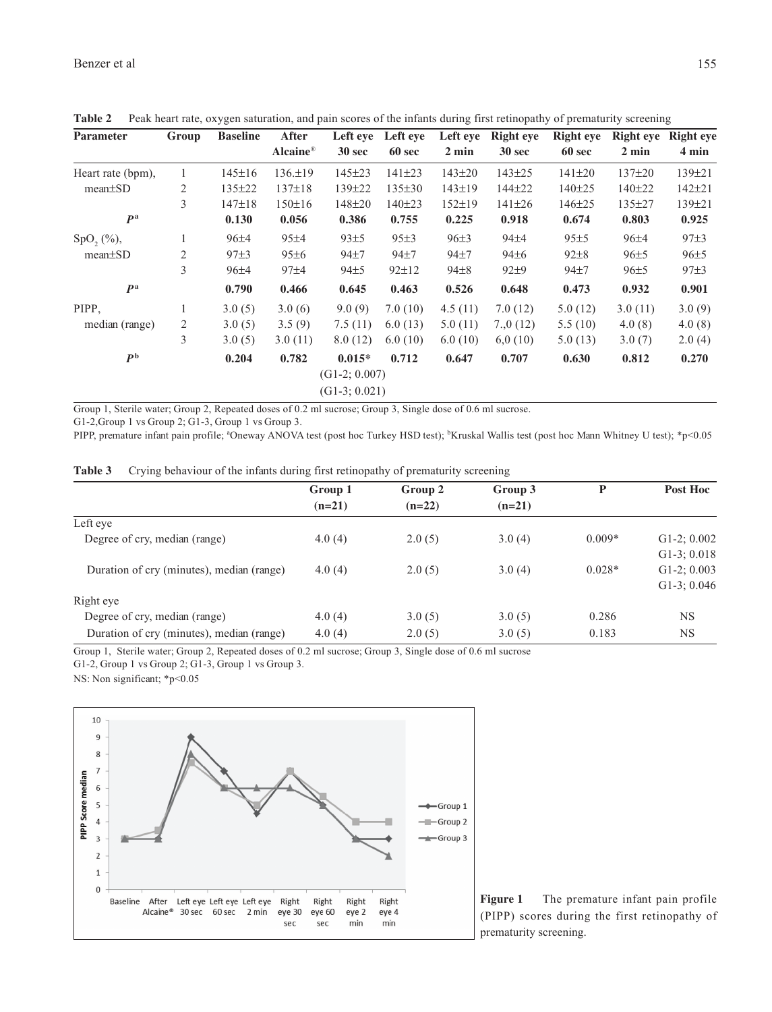| <b>Parameter</b>  | Group          | <b>Baseline</b> | After         | Left eye        | Left eve     | Left eye        | <b>Right</b> eye | <b>Right</b> eye | <b>Right</b> eye | <b>Right</b> eye |
|-------------------|----------------|-----------------|---------------|-----------------|--------------|-----------------|------------------|------------------|------------------|------------------|
|                   |                |                 | Alcaine®      | 30 sec          | 60 sec       | $2 \text{ min}$ | 30 sec           | 60 sec           | $2 \text{ min}$  | 4 min            |
| Heart rate (bpm), |                | $145 \pm 16$    | $136. \pm 19$ | $145 \pm 23$    | $141\pm23$   | $143 \pm 20$    | $143 \pm 25$     | $141 \pm 20$     | 137±20           | $139 \pm 21$     |
| $mean \pm SD$     | $\overline{2}$ | 135±22          | $137 \pm 18$  | 139±22          | $135 \pm 30$ | $143 \pm 19$    | 144±22           | $140 + 25$       | 140±22           | $142 + 21$       |
|                   | 3              | 147±18          | 150±16        | 148±20          | 140±23       | $152 \pm 19$    | $141 \pm 26$     | $146 \pm 25$     | 135±27           | 139±21           |
| P <sup>a</sup>    |                | 0.130           | 0.056         | 0.386           | 0.755        | 0.225           | 0.918            | 0.674            | 0.803            | 0.925            |
| $SpO2(\%)$ ,      |                | $96+4$          | 95±4          | 93±5            | 95±3         | 96±3            | $94\pm4$         | 95±5             | $96 + 4$         | 97±3             |
| $mean \pm SD$     | 2              | 97±3            | $95\pm6$      | $94+7$          | $94\pm7$     | $94+7$          | $94\pm6$         | $92 \pm 8$       | 96±5             | 96±5             |
|                   | 3              | $96+4$          | 97±4          | 94±5            | $92 \pm 12$  | $94 \pm 8$      | $92\pm9$         | $94+7$           | 96±5             | 97±3             |
| P <sup>a</sup>    |                | 0.790           | 0.466         | 0.645           | 0.463        | 0.526           | 0.648            | 0.473            | 0.932            | 0.901            |
| PIPP.             |                | 3.0(5)          | 3.0(6)        | 9.0(9)          | 7.0(10)      | 4.5(11)         | 7.0(12)          | 5.0(12)          | 3.0(11)          | 3.0(9)           |
| median (range)    | 2              | 3.0(5)          | 3.5(9)        | 7.5(11)         | 6.0(13)      | 5.0(11)         | 7,0(12)          | 5.5(10)          | 4.0(8)           | 4.0(8)           |
|                   | 3              | 3.0(5)          | 3.0(11)       | 8.0(12)         | 6.0(10)      | 6.0(10)         | 6,0(10)          | 5.0(13)          | 3.0(7)           | 2.0(4)           |
| P <sup>b</sup>    |                | 0.204           | 0.782         | $0.015*$        | 0.712        | 0.647           | 0.707            | 0.630            | 0.812            | 0.270            |
|                   |                |                 |               | $(G1-2; 0.007)$ |              |                 |                  |                  |                  |                  |
|                   |                |                 |               | $(G1-3; 0.021)$ |              |                 |                  |                  |                  |                  |

**Table 2** Peak heart rate, oxygen saturation, and pain scores of the infants during first retinopathy of prematurity screening

Group 1, Sterile water; Group 2, Repeated doses of 0.2 ml sucrose; Group 3, Single dose of 0.6 ml sucrose.

G1-2,Group 1 vs Group 2; G1-3, Group 1 vs Group 3.

PIPP, premature infant pain profile; <sup>a</sup>Oneway ANOVA test (post hoc Turkey HSD test); <sup>b</sup>Kruskal Wallis test (post hoc Mann Whitney U test); \*p<0.05

| Table 3 | Crying behaviour of the infants during first retinopathy of prematurity screening |  |  |  |  |  |
|---------|-----------------------------------------------------------------------------------|--|--|--|--|--|
|         |                                                                                   |  |  |  |  |  |

|                                           | Group 1  | Group 2  | Group 3  | P        | Post Hoc       |
|-------------------------------------------|----------|----------|----------|----------|----------------|
|                                           | $(n=21)$ | $(n=22)$ | $(n=21)$ |          |                |
| Left eve                                  |          |          |          |          |                |
| Degree of cry, median (range)             | 4.0(4)   | 2.0(5)   | 3.0(4)   | $0.009*$ | $G1-2$ ; 0.002 |
|                                           |          |          |          |          | $G1-3: 0.018$  |
| Duration of cry (minutes), median (range) | 4.0(4)   | 2.0(5)   | 3.0(4)   | $0.028*$ | $G1-2$ ; 0.003 |
|                                           |          |          |          |          | $G1-3$ ; 0.046 |
| Right eye                                 |          |          |          |          |                |
| Degree of cry, median (range)             | 4.0(4)   | 3.0(5)   | 3.0(5)   | 0.286    | <b>NS</b>      |
| Duration of cry (minutes), median (range) | 4.0(4)   | 2.0(5)   | 3.0(5)   | 0.183    | <b>NS</b>      |

Group 1, Sterile water; Group 2, Repeated doses of 0.2 ml sucrose; Group 3, Single dose of 0.6 ml sucrose

G1-2, Group 1 vs Group 2; G1-3, Group 1 vs Group 3.

NS: Non significant; \*p<0.05



**Figure 1** The premature infant pain profile (PIPP) scores during the first retinopathy of prematurity screening.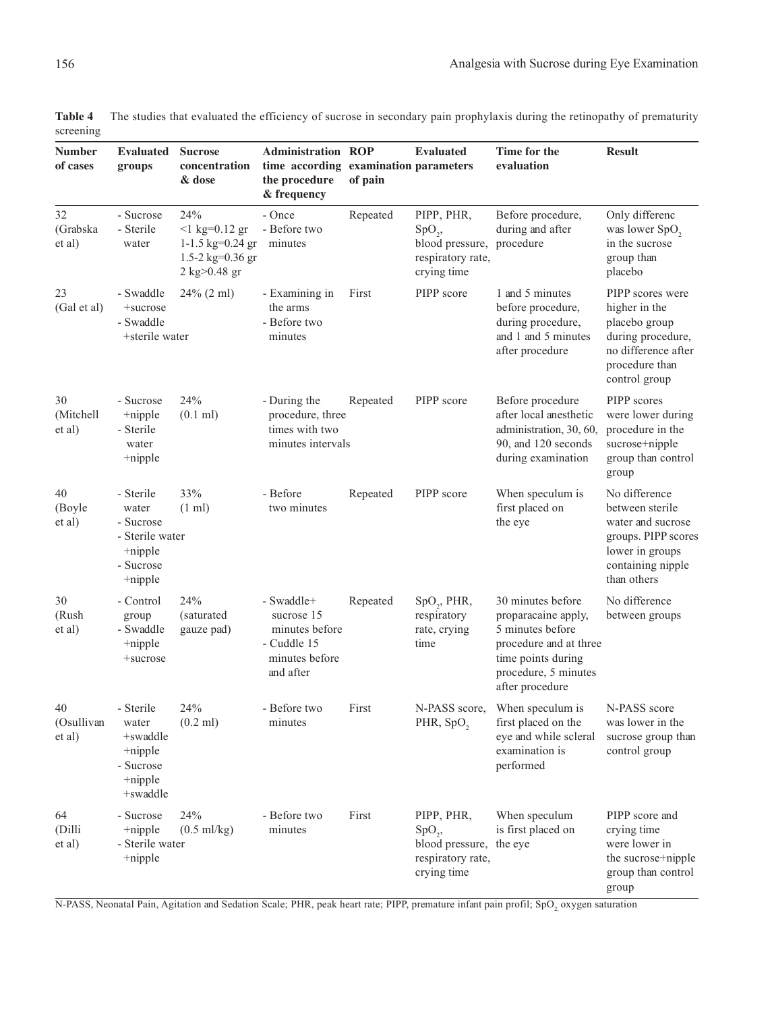|           | Table 4 The studies that evaluated the efficiency of sucrose in secondary pain prophylaxis during the retinopathy of prematurity |
|-----------|----------------------------------------------------------------------------------------------------------------------------------|
| screening |                                                                                                                                  |

| <b>Number</b><br>of cases  | <b>Evaluated</b><br>groups                                                                  | <b>Sucrose</b><br>concentration<br>& dose                                                                | <b>Administration ROP</b><br>time according examination parameters<br>the procedure<br>& frequency | of pain  | <b>Evaluated</b>                                                                         | Time for the<br>evaluation                                                                                                                              | <b>Result</b>                                                                                                                       |
|----------------------------|---------------------------------------------------------------------------------------------|----------------------------------------------------------------------------------------------------------|----------------------------------------------------------------------------------------------------|----------|------------------------------------------------------------------------------------------|---------------------------------------------------------------------------------------------------------------------------------------------------------|-------------------------------------------------------------------------------------------------------------------------------------|
| 32<br>(Grabska<br>et al)   | - Sucrose<br>- Sterile<br>water                                                             | 24%<br>$<$ 1 kg=0.12 gr<br>1-1.5 $kg=0.24$ gr<br>1.5-2 kg= $0.36$ gr<br>$2 \text{ kg} > 0.48 \text{ gr}$ | - Once<br>- Before two<br>minutes                                                                  | Repeated | PIPP, PHR,<br>$SpO_{2}$<br>blood pressure, procedure<br>respiratory rate,<br>crying time | Before procedure,<br>during and after                                                                                                                   | Only differenc<br>was lower SpO <sub>2</sub><br>in the sucrose<br>group than<br>placebo                                             |
| 23<br>(Gal et al)          | - Swaddle<br>+sucrose<br>- Swaddle<br>+sterile water                                        | $24\%$ (2 ml)                                                                                            | - Examining in<br>the arms<br>- Before two<br>minutes                                              | First    | PIPP score                                                                               | 1 and 5 minutes<br>before procedure,<br>during procedure,<br>and 1 and 5 minutes<br>after procedure                                                     | PIPP scores were<br>higher in the<br>placebo group<br>during procedure,<br>no difference after<br>procedure than<br>control group   |
| 30<br>(Mitchell<br>et al)  | - Sucrose<br>$+$ nipple<br>- Sterile<br>water<br>+nipple                                    | 24%<br>$(0.1 \text{ ml})$                                                                                | - During the<br>procedure, three<br>times with two<br>minutes intervals                            | Repeated | PIPP score                                                                               | Before procedure<br>after local anesthetic<br>administration, 30, 60,<br>90, and 120 seconds<br>during examination                                      | PIPP scores<br>were lower during<br>procedure in the<br>sucrose+nipple<br>group than control<br>group                               |
| 40<br>(Boyle<br>et al)     | - Sterile<br>water<br>- Sucrose<br>- Sterile water<br>$+$ nipple<br>- Sucrose<br>$+$ nipple | 33%<br>$(1 \text{ ml})$                                                                                  | - Before<br>two minutes                                                                            | Repeated | PIPP score                                                                               | When speculum is<br>first placed on<br>the eye                                                                                                          | No difference<br>between sterile<br>water and sucrose<br>groups. PIPP scores<br>lower in groups<br>containing nipple<br>than others |
| 30<br>(Rush<br>et al)      | - Control<br>group<br>- Swaddle<br>$+$ nipple<br>+sucrose                                   | 24%<br>(saturated<br>gauze pad)                                                                          | - Swaddle+<br>sucrose 15<br>minutes before<br>- Cuddle 15<br>minutes before<br>and after           | Repeated | $SpO_{2}$ , PHR,<br>respiratory<br>rate, crying<br>time                                  | 30 minutes before<br>proparacaine apply,<br>5 minutes before<br>procedure and at three<br>time points during<br>procedure, 5 minutes<br>after procedure | No difference<br>between groups                                                                                                     |
| 40<br>(Osullivan<br>et al) | - Sterile<br>water<br>+swaddle<br>+nipple<br>- Sucrose<br>$+$ nipple<br>+swaddle            | 24%<br>$(0.2$ ml)                                                                                        | - Before two<br>minutes                                                                            | First    | PHR, SpO <sub>2</sub>                                                                    | N-PASS score, When speculum is<br>first placed on the<br>eye and while scleral<br>examination is<br>performed                                           | N-PASS score<br>was lower in the<br>sucrose group than<br>control group                                                             |
| 64<br>(Dilli<br>et al)     | - Sucrose<br>+nipple<br>- Sterile water<br>$+$ nipple                                       | 24%<br>$(0.5 \text{ ml/kg})$                                                                             | - Before two<br>minutes                                                                            | First    | PIPP, PHR,<br>$SpO_{2}$<br>blood pressure, the eye<br>respiratory rate,<br>crying time   | When speculum<br>is first placed on                                                                                                                     | PIPP score and<br>crying time<br>were lower in<br>the sucrose+nipple<br>group than control<br>group                                 |

N-PASS, Neonatal Pain, Agitation and Sedation Scale; PHR, peak heart rate; PIPP, premature infant pain profil; SpO<sub>2</sub> oxygen saturation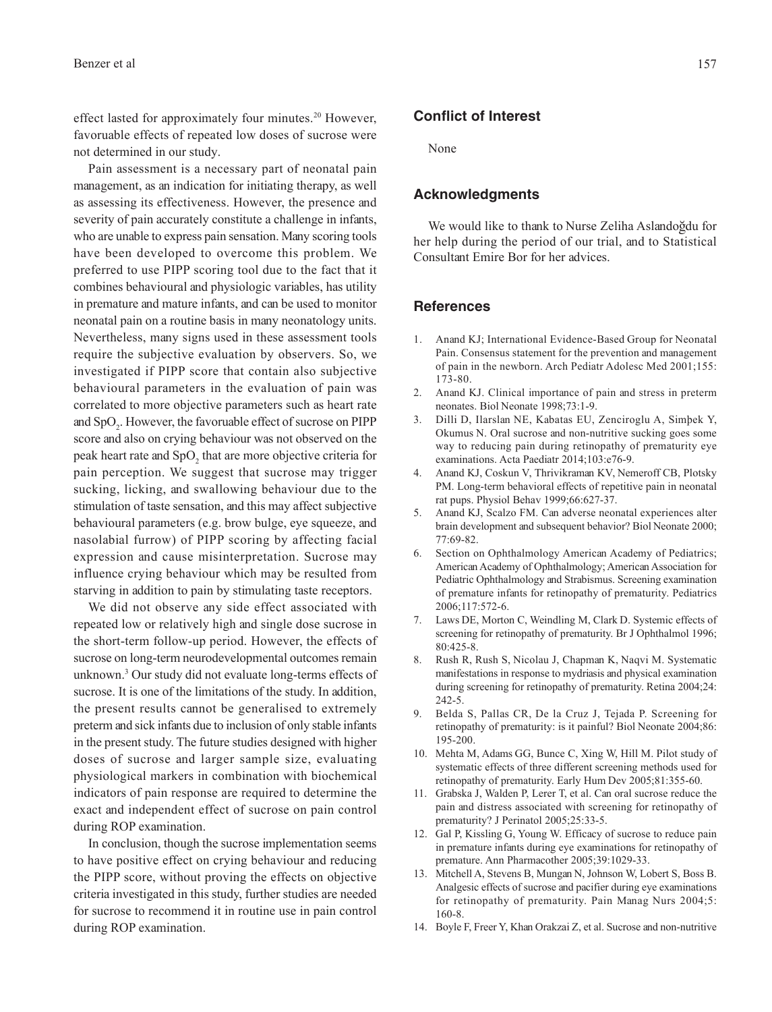effect lasted for approximately four minutes.20 However, favoruable effects of repeated low doses of sucrose were not determined in our study.

Pain assessment is a necessary part of neonatal pain management, as an indication for initiating therapy, as well as assessing its effectiveness. However, the presence and severity of pain accurately constitute a challenge in infants, who are unable to express pain sensation. Many scoring tools have been developed to overcome this problem. We preferred to use PIPP scoring tool due to the fact that it combines behavioural and physiologic variables, has utility in premature and mature infants, and can be used to monitor neonatal pain on a routine basis in many neonatology units. Nevertheless, many signs used in these assessment tools require the subjective evaluation by observers. So, we investigated if PIPP score that contain also subjective behavioural parameters in the evaluation of pain was correlated to more objective parameters such as heart rate and  $SpO<sub>2</sub>$ . However, the favoruable effect of sucrose on PIPP score and also on crying behaviour was not observed on the peak heart rate and  $SpO<sub>2</sub>$  that are more objective criteria for pain perception. We suggest that sucrose may trigger sucking, licking, and swallowing behaviour due to the stimulation of taste sensation, and this may affect subjective behavioural parameters (e.g. brow bulge, eye squeeze, and nasolabial furrow) of PIPP scoring by affecting facial expression and cause misinterpretation. Sucrose may influence crying behaviour which may be resulted from starving in addition to pain by stimulating taste receptors.

We did not observe any side effect associated with repeated low or relatively high and single dose sucrose in the short-term follow-up period. However, the effects of sucrose on long-term neurodevelopmental outcomes remain unknown.3 Our study did not evaluate long-terms effects of sucrose. It is one of the limitations of the study. In addition, the present results cannot be generalised to extremely preterm and sick infants due to inclusion of only stable infants in the present study. The future studies designed with higher doses of sucrose and larger sample size, evaluating physiological markers in combination with biochemical indicators of pain response are required to determine the exact and independent effect of sucrose on pain control during ROP examination.

In conclusion, though the sucrose implementation seems to have positive effect on crying behaviour and reducing the PIPP score, without proving the effects on objective criteria investigated in this study, further studies are needed for sucrose to recommend it in routine use in pain control during ROP examination.

## **Conflict of Interest**

None

#### **Acknowledgments**

We would like to thank to Nurse Zeliha Aslandoğdu for her help during the period of our trial, and to Statistical Consultant Emire Bor for her advices.

#### **References**

- 1. Anand KJ; International Evidence-Based Group for Neonatal Pain. Consensus statement for the prevention and management of pain in the newborn. Arch Pediatr Adolesc Med 2001;155: 173-80.
- 2. Anand KJ. Clinical importance of pain and stress in preterm neonates. Biol Neonate 1998;73:1-9.
- 3. Dilli D, Ilarslan NE, Kabatas EU, Zenciroglu A, Simþek Y, Okumus N. Oral sucrose and non-nutritive sucking goes some way to reducing pain during retinopathy of prematurity eye examinations. Acta Paediatr 2014;103:e76-9.
- 4. Anand KJ, Coskun V, Thrivikraman KV, Nemeroff CB, Plotsky PM. Long-term behavioral effects of repetitive pain in neonatal rat pups. Physiol Behav 1999;66:627-37.
- 5. Anand KJ, Scalzo FM. Can adverse neonatal experiences alter brain development and subsequent behavior? Biol Neonate 2000; 77:69-82.
- 6. Section on Ophthalmology American Academy of Pediatrics; American Academy of Ophthalmology; American Association for Pediatric Ophthalmology and Strabismus. Screening examination of premature infants for retinopathy of prematurity. Pediatrics 2006;117:572-6.
- 7. Laws DE, Morton C, Weindling M, Clark D. Systemic effects of screening for retinopathy of prematurity. Br J Ophthalmol 1996; 80:425-8.
- 8. Rush R, Rush S, Nicolau J, Chapman K, Naqvi M. Systematic manifestations in response to mydriasis and physical examination during screening for retinopathy of prematurity. Retina 2004;24: 242-5.
- 9. Belda S, Pallas CR, De la Cruz J, Tejada P. Screening for retinopathy of prematurity: is it painful? Biol Neonate 2004;86: 195-200.
- 10. Mehta M, Adams GG, Bunce C, Xing W, Hill M. Pilot study of systematic effects of three different screening methods used for retinopathy of prematurity. Early Hum Dev 2005;81:355-60.
- 11. Grabska J, Walden P, Lerer T, et al. Can oral sucrose reduce the pain and distress associated with screening for retinopathy of prematurity? J Perinatol 2005;25:33-5.
- 12. Gal P, Kissling G, Young W. Efficacy of sucrose to reduce pain in premature infants during eye examinations for retinopathy of premature. Ann Pharmacother 2005;39:1029-33.
- 13. Mitchell A, Stevens B, Mungan N, Johnson W, Lobert S, Boss B. Analgesic effects of sucrose and pacifier during eye examinations for retinopathy of prematurity. Pain Manag Nurs 2004;5: 160-8.
- 14. Boyle F, Freer Y, Khan Orakzai Z, et al. Sucrose and non-nutritive